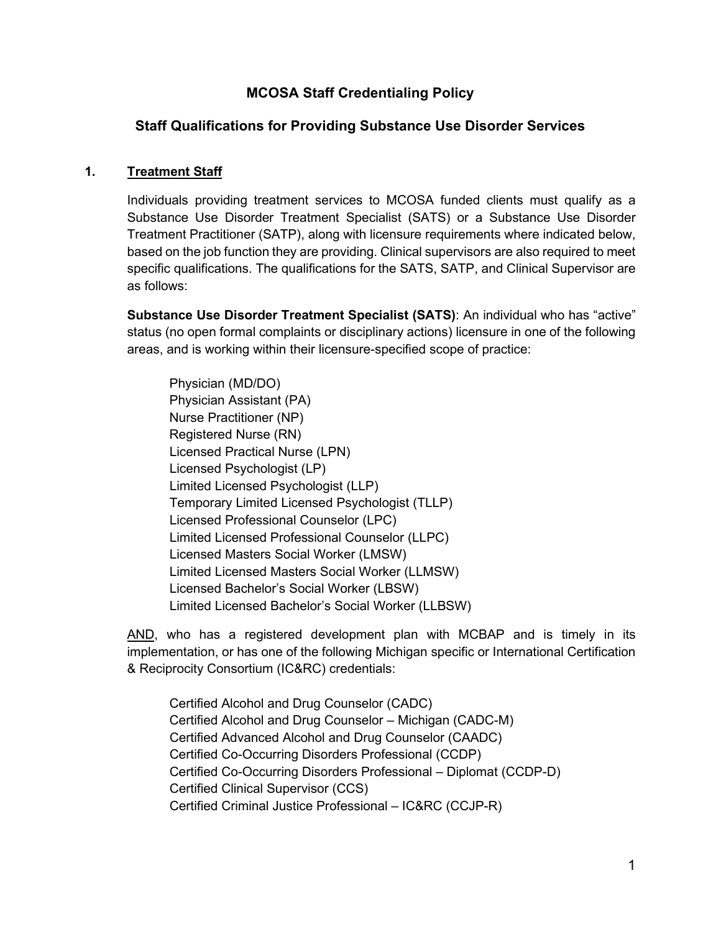## **MCOSA Staff Credentialing Policy**

## **Staff Qualifications for Providing Substance Use Disorder Services**

### **1. Treatment Staff**

Individuals providing treatment services to MCOSA funded clients must qualify as a Substance Use Disorder Treatment Specialist (SATS) or a Substance Use Disorder Treatment Practitioner (SATP), along with licensure requirements where indicated below, based on the job function they are providing. Clinical supervisors are also required to meet specific qualifications. The qualifications for the SATS, SATP, and Clinical Supervisor are as follows:

**Substance Use Disorder Treatment Specialist (SATS)**: An individual who has "active" status (no open formal complaints or disciplinary actions) licensure in one of the following areas, and is working within their licensure-specified scope of practice:

Physician (MD/DO) Physician Assistant (PA) Nurse Practitioner (NP) Registered Nurse (RN) Licensed Practical Nurse (LPN) Licensed Psychologist (LP) Limited Licensed Psychologist (LLP) Temporary Limited Licensed Psychologist (TLLP) Licensed Professional Counselor (LPC) Limited Licensed Professional Counselor (LLPC) Licensed Masters Social Worker (LMSW) Limited Licensed Masters Social Worker (LLMSW) Licensed Bachelor's Social Worker (LBSW) Limited Licensed Bachelor's Social Worker (LLBSW)

AND, who has a registered development plan with MCBAP and is timely in its implementation, or has one of the following Michigan specific or International Certification & Reciprocity Consortium (IC&RC) credentials:

Certified Alcohol and Drug Counselor (CADC) Certified Alcohol and Drug Counselor – Michigan (CADC-M) Certified Advanced Alcohol and Drug Counselor (CAADC) Certified Co-Occurring Disorders Professional (CCDP) Certified Co-Occurring Disorders Professional – Diplomat (CCDP-D) Certified Clinical Supervisor (CCS) Certified Criminal Justice Professional – IC&RC (CCJP-R)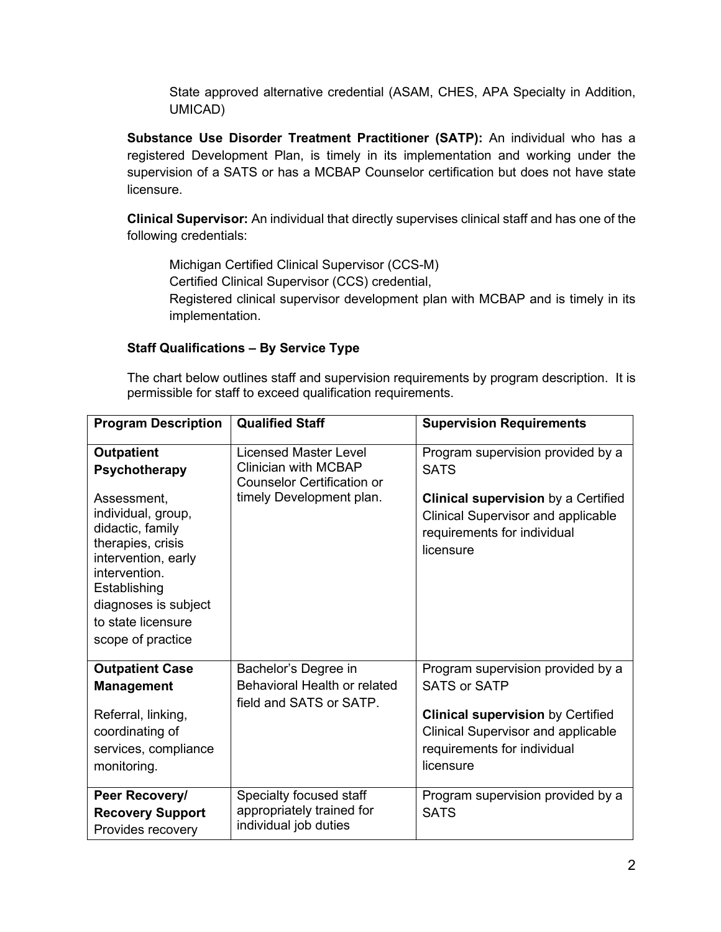State approved alternative credential (ASAM, CHES, APA Specialty in Addition, UMICAD)

**Substance Use Disorder Treatment Practitioner (SATP):** An individual who has a registered Development Plan, is timely in its implementation and working under the supervision of a SATS or has a MCBAP Counselor certification but does not have state licensure.

**Clinical Supervisor:** An individual that directly supervises clinical staff and has one of the following credentials:

Michigan Certified Clinical Supervisor (CCS-M) Certified Clinical Supervisor (CCS) credential, Registered clinical supervisor development plan with MCBAP and is timely in its implementation.

## **Staff Qualifications – By Service Type**

The chart below outlines staff and supervision requirements by program description. It is permissible for staff to exceed qualification requirements.

| <b>Program Description</b>                                                                                                                                                                                                                         | <b>Qualified Staff</b>                                                                                                       | <b>Supervision Requirements</b>                                                                                                                                                               |
|----------------------------------------------------------------------------------------------------------------------------------------------------------------------------------------------------------------------------------------------------|------------------------------------------------------------------------------------------------------------------------------|-----------------------------------------------------------------------------------------------------------------------------------------------------------------------------------------------|
| <b>Outpatient</b><br><b>Psychotherapy</b><br>Assessment,<br>individual, group,<br>didactic, family<br>therapies, crisis<br>intervention, early<br>intervention.<br>Establishing<br>diagnoses is subject<br>to state licensure<br>scope of practice | <b>Licensed Master Level</b><br><b>Clinician with MCBAP</b><br><b>Counselor Certification or</b><br>timely Development plan. | Program supervision provided by a<br><b>SATS</b><br><b>Clinical supervision</b> by a Certified<br><b>Clinical Supervisor and applicable</b><br>requirements for individual<br>licensure       |
| <b>Outpatient Case</b><br><b>Management</b><br>Referral, linking,<br>coordinating of<br>services, compliance<br>monitoring.                                                                                                                        | Bachelor's Degree in<br>Behavioral Health or related<br>field and SATS or SATP.                                              | Program supervision provided by a<br><b>SATS or SATP</b><br><b>Clinical supervision by Certified</b><br><b>Clinical Supervisor and applicable</b><br>requirements for individual<br>licensure |
| Peer Recovery/<br><b>Recovery Support</b><br>Provides recovery                                                                                                                                                                                     | Specialty focused staff<br>appropriately trained for<br>individual job duties                                                | Program supervision provided by a<br><b>SATS</b>                                                                                                                                              |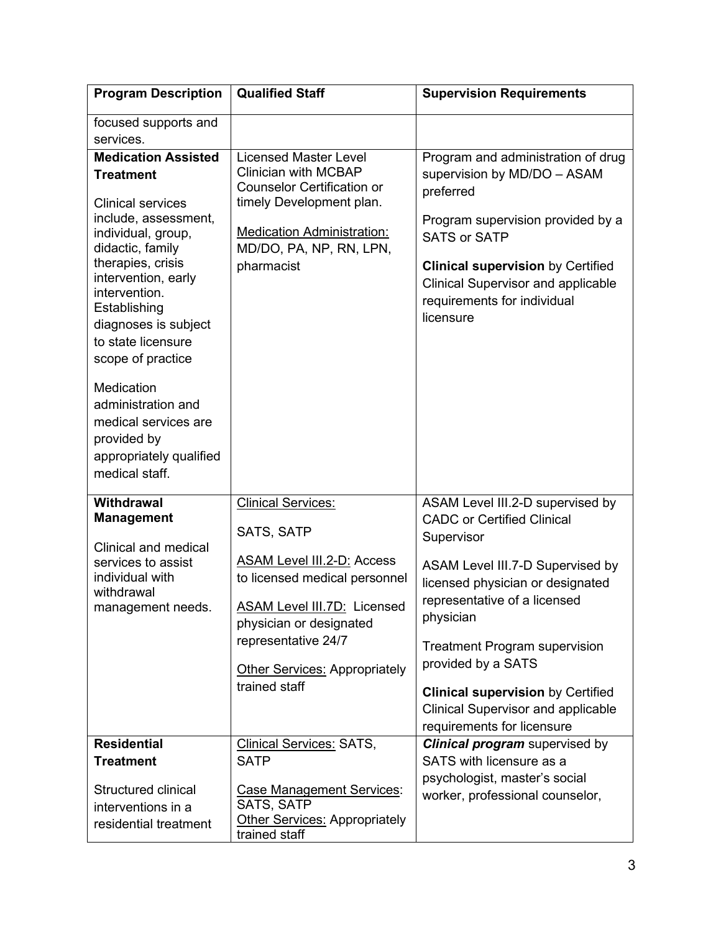| <b>Program Description</b>                                                                                                                                                                                                                                                                   | <b>Qualified Staff</b>                                                                                                                                                                                       | <b>Supervision Requirements</b>                                                                                                                                                                                                                                                                        |
|----------------------------------------------------------------------------------------------------------------------------------------------------------------------------------------------------------------------------------------------------------------------------------------------|--------------------------------------------------------------------------------------------------------------------------------------------------------------------------------------------------------------|--------------------------------------------------------------------------------------------------------------------------------------------------------------------------------------------------------------------------------------------------------------------------------------------------------|
| focused supports and<br>services.                                                                                                                                                                                                                                                            |                                                                                                                                                                                                              |                                                                                                                                                                                                                                                                                                        |
| <b>Medication Assisted</b><br><b>Treatment</b><br><b>Clinical services</b><br>include, assessment,<br>individual, group,<br>didactic, family<br>therapies, crisis<br>intervention, early<br>intervention.<br>Establishing<br>diagnoses is subject<br>to state licensure<br>scope of practice | <b>Licensed Master Level</b><br><b>Clinician with MCBAP</b><br><b>Counselor Certification or</b><br>timely Development plan.<br><b>Medication Administration:</b><br>MD/DO, PA, NP, RN, LPN,<br>pharmacist   | Program and administration of drug<br>supervision by MD/DO - ASAM<br>preferred<br>Program supervision provided by a<br><b>SATS or SATP</b><br><b>Clinical supervision by Certified</b><br><b>Clinical Supervisor and applicable</b><br>requirements for individual<br>licensure                        |
| Medication<br>administration and<br>medical services are<br>provided by<br>appropriately qualified<br>medical staff.                                                                                                                                                                         |                                                                                                                                                                                                              |                                                                                                                                                                                                                                                                                                        |
| <b>Withdrawal</b><br><b>Management</b>                                                                                                                                                                                                                                                       | <b>Clinical Services:</b><br>SATS, SATP                                                                                                                                                                      | ASAM Level III.2-D supervised by<br><b>CADC</b> or Certified Clinical<br>Supervisor                                                                                                                                                                                                                    |
| Clinical and medical<br>services to assist<br>individual with<br>withdrawal<br>management needs.                                                                                                                                                                                             | ASAM Level III.2-D: Access<br>to licensed medical personnel<br><b>ASAM Level III.7D: Licensed</b><br>physician or designated<br>representative 24/7<br><b>Other Services: Appropriately</b><br>trained staff | ASAM Level III.7-D Supervised by<br>licensed physician or designated<br>representative of a licensed<br>physician<br><b>Treatment Program supervision</b><br>provided by a SATS<br><b>Clinical supervision by Certified</b><br><b>Clinical Supervisor and applicable</b><br>requirements for licensure |
| <b>Residential</b>                                                                                                                                                                                                                                                                           | <b>Clinical Services: SATS,</b>                                                                                                                                                                              | <b>Clinical program</b> supervised by                                                                                                                                                                                                                                                                  |
| <b>Treatment</b><br>Structured clinical<br>interventions in a<br>residential treatment                                                                                                                                                                                                       | <b>SATP</b><br>Case Management Services:<br><b>SATS, SATP</b><br><b>Other Services: Appropriately</b><br>trained staff                                                                                       | SATS with licensure as a<br>psychologist, master's social<br>worker, professional counselor,                                                                                                                                                                                                           |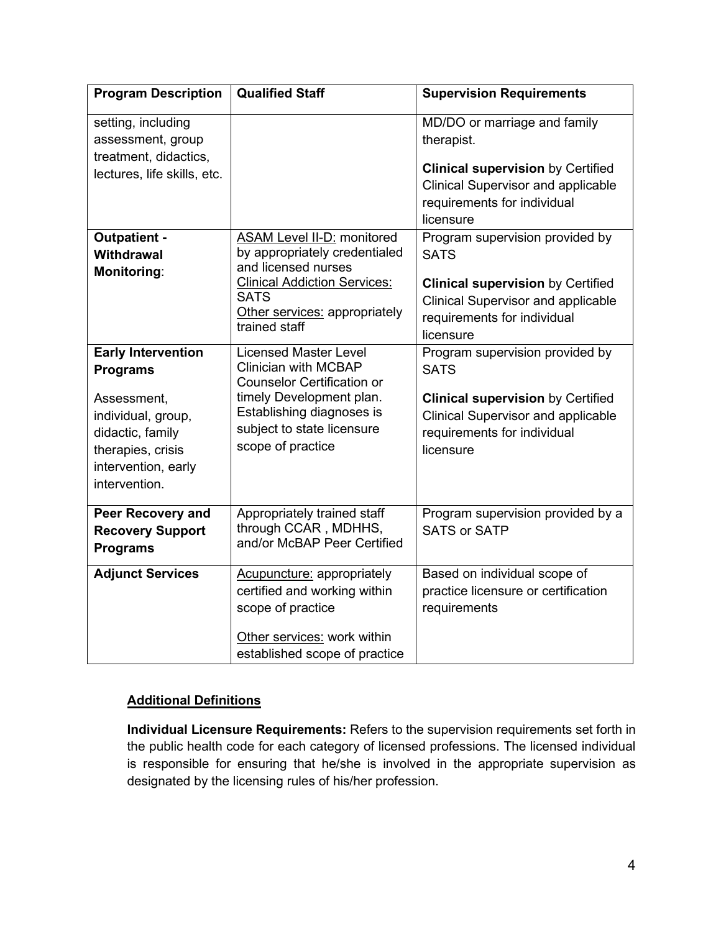| <b>Program Description</b>                                                                                                                                         | <b>Qualified Staff</b>                                                                                                                                                                                       | <b>Supervision Requirements</b>                                                                                                                                                     |
|--------------------------------------------------------------------------------------------------------------------------------------------------------------------|--------------------------------------------------------------------------------------------------------------------------------------------------------------------------------------------------------------|-------------------------------------------------------------------------------------------------------------------------------------------------------------------------------------|
| setting, including<br>assessment, group<br>treatment, didactics,<br>lectures, life skills, etc.                                                                    |                                                                                                                                                                                                              | MD/DO or marriage and family<br>therapist.<br><b>Clinical supervision by Certified</b><br><b>Clinical Supervisor and applicable</b><br>requirements for individual<br>licensure     |
| <b>Outpatient -</b><br><b>Withdrawal</b><br><b>Monitoring:</b>                                                                                                     | <b>ASAM Level II-D: monitored</b><br>by appropriately credentialed<br>and licensed nurses<br><b>Clinical Addiction Services:</b><br><b>SATS</b><br>Other services: appropriately<br>trained staff            | Program supervision provided by<br><b>SATS</b><br><b>Clinical supervision by Certified</b><br><b>Clinical Supervisor and applicable</b><br>requirements for individual<br>licensure |
| <b>Early Intervention</b><br><b>Programs</b><br>Assessment,<br>individual, group,<br>didactic, family<br>therapies, crisis<br>intervention, early<br>intervention. | <b>Licensed Master Level</b><br><b>Clinician with MCBAP</b><br><b>Counselor Certification or</b><br>timely Development plan.<br>Establishing diagnoses is<br>subject to state licensure<br>scope of practice | Program supervision provided by<br><b>SATS</b><br><b>Clinical supervision by Certified</b><br><b>Clinical Supervisor and applicable</b><br>requirements for individual<br>licensure |
| <b>Peer Recovery and</b><br><b>Recovery Support</b><br><b>Programs</b>                                                                                             | Appropriately trained staff<br>through CCAR, MDHHS,<br>and/or McBAP Peer Certified                                                                                                                           | Program supervision provided by a<br><b>SATS or SATP</b>                                                                                                                            |
| <b>Adjunct Services</b>                                                                                                                                            | <b>Acupuncture: appropriately</b><br>certified and working within<br>scope of practice<br>Other services: work within<br>established scope of practice                                                       | Based on individual scope of<br>practice licensure or certification<br>requirements                                                                                                 |

### **Additional Definitions**

**Individual Licensure Requirements:** Refers to the supervision requirements set forth in the public health code for each category of licensed professions. The licensed individual is responsible for ensuring that he/she is involved in the appropriate supervision as designated by the licensing rules of his/her profession.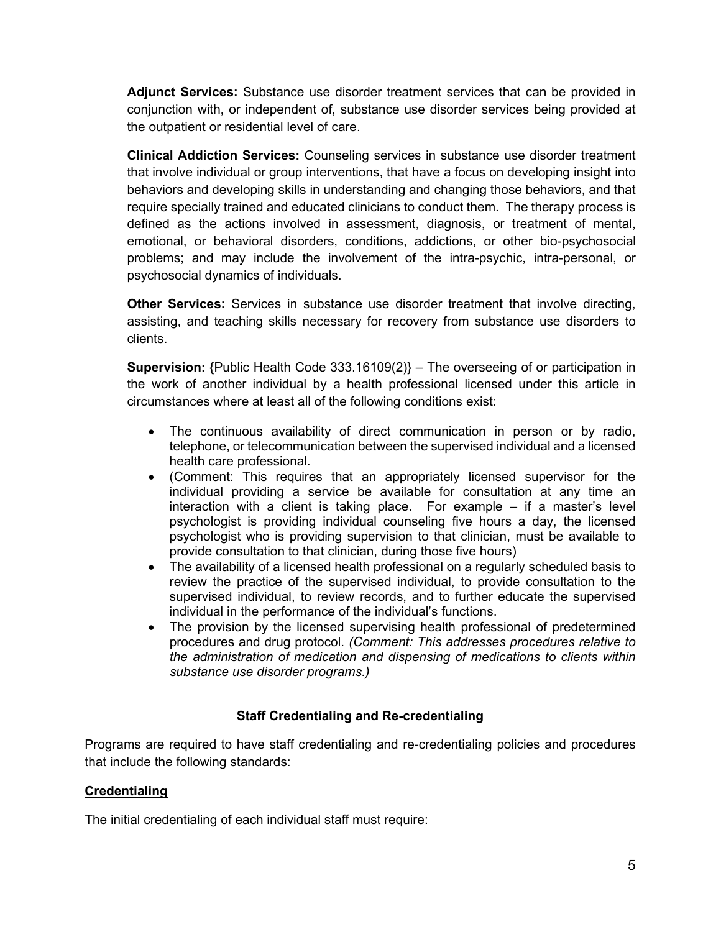**Adjunct Services:** Substance use disorder treatment services that can be provided in conjunction with, or independent of, substance use disorder services being provided at the outpatient or residential level of care.

**Clinical Addiction Services:** Counseling services in substance use disorder treatment that involve individual or group interventions, that have a focus on developing insight into behaviors and developing skills in understanding and changing those behaviors, and that require specially trained and educated clinicians to conduct them. The therapy process is defined as the actions involved in assessment, diagnosis, or treatment of mental, emotional, or behavioral disorders, conditions, addictions, or other bio-psychosocial problems; and may include the involvement of the intra-psychic, intra-personal, or psychosocial dynamics of individuals.

**Other Services:** Services in substance use disorder treatment that involve directing, assisting, and teaching skills necessary for recovery from substance use disorders to clients.

**Supervision:** {Public Health Code 333.16109(2)} – The overseeing of or participation in the work of another individual by a health professional licensed under this article in circumstances where at least all of the following conditions exist:

- The continuous availability of direct communication in person or by radio, telephone, or telecommunication between the supervised individual and a licensed health care professional.
- (Comment: This requires that an appropriately licensed supervisor for the individual providing a service be available for consultation at any time an interaction with a client is taking place. For example – if a master's level psychologist is providing individual counseling five hours a day, the licensed psychologist who is providing supervision to that clinician, must be available to provide consultation to that clinician, during those five hours)
- The availability of a licensed health professional on a regularly scheduled basis to review the practice of the supervised individual, to provide consultation to the supervised individual, to review records, and to further educate the supervised individual in the performance of the individual's functions.
- The provision by the licensed supervising health professional of predetermined procedures and drug protocol. *(Comment: This addresses procedures relative to the administration of medication and dispensing of medications to clients within substance use disorder programs.)*

# **Staff Credentialing and Re-credentialing**

Programs are required to have staff credentialing and re-credentialing policies and procedures that include the following standards:

## **Credentialing**

The initial credentialing of each individual staff must require: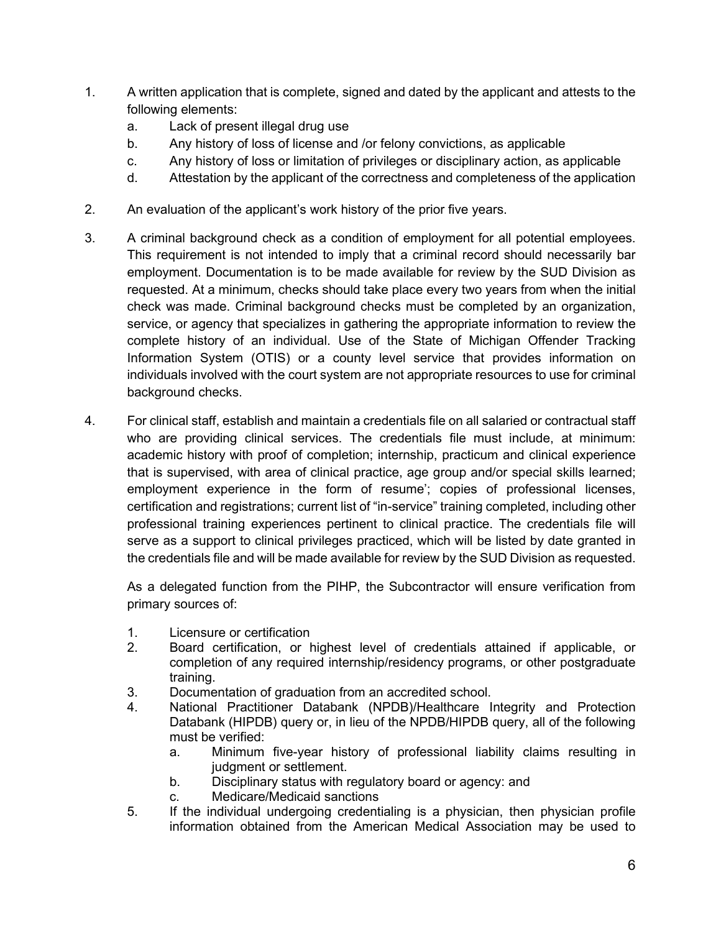- 1. A written application that is complete, signed and dated by the applicant and attests to the following elements:
	- a. Lack of present illegal drug use
	- b. Any history of loss of license and /or felony convictions, as applicable
	- c. Any history of loss or limitation of privileges or disciplinary action, as applicable
	- d. Attestation by the applicant of the correctness and completeness of the application
- 2. An evaluation of the applicant's work history of the prior five years.
- 3. A criminal background check as a condition of employment for all potential employees. This requirement is not intended to imply that a criminal record should necessarily bar employment. Documentation is to be made available for review by the SUD Division as requested. At a minimum, checks should take place every two years from when the initial check was made. Criminal background checks must be completed by an organization, service, or agency that specializes in gathering the appropriate information to review the complete history of an individual. Use of the State of Michigan Offender Tracking Information System (OTIS) or a county level service that provides information on individuals involved with the court system are not appropriate resources to use for criminal background checks.
- 4. For clinical staff, establish and maintain a credentials file on all salaried or contractual staff who are providing clinical services. The credentials file must include, at minimum: academic history with proof of completion; internship, practicum and clinical experience that is supervised, with area of clinical practice, age group and/or special skills learned; employment experience in the form of resume'; copies of professional licenses, certification and registrations; current list of "in-service" training completed, including other professional training experiences pertinent to clinical practice. The credentials file will serve as a support to clinical privileges practiced, which will be listed by date granted in the credentials file and will be made available for review by the SUD Division as requested.

As a delegated function from the PIHP, the Subcontractor will ensure verification from primary sources of:

- 1. Licensure or certification
- 2. Board certification, or highest level of credentials attained if applicable, or completion of any required internship/residency programs, or other postgraduate training.
- 3. Documentation of graduation from an accredited school.<br>4. National Practitioner Databank (NPDB)/Healthcare li
- National Practitioner Databank (NPDB)/Healthcare Integrity and Protection Databank (HIPDB) query or, in lieu of the NPDB/HIPDB query, all of the following must be verified:
	- a. Minimum five-year history of professional liability claims resulting in judgment or settlement.
	- b. Disciplinary status with regulatory board or agency: and
	- c. Medicare/Medicaid sanctions
- 5. If the individual undergoing credentialing is a physician, then physician profile information obtained from the American Medical Association may be used to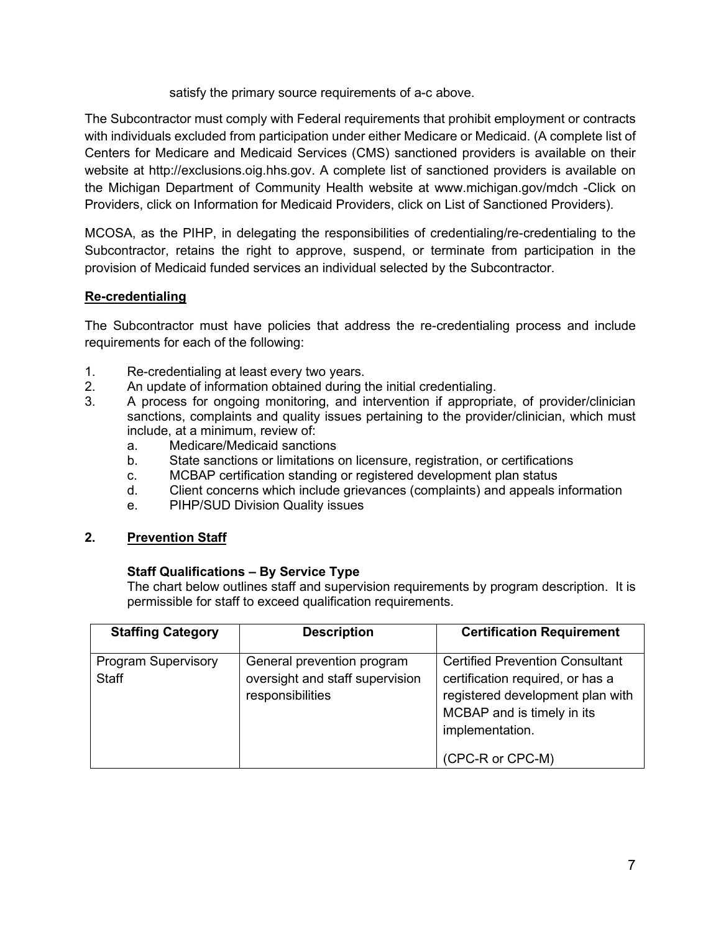satisfy the primary source requirements of a-c above.

The Subcontractor must comply with Federal requirements that prohibit employment or contracts with individuals excluded from participation under either Medicare or Medicaid. (A complete list of Centers for Medicare and Medicaid Services (CMS) sanctioned providers is available on their website at http://exclusions.oig.hhs.gov. A complete list of sanctioned providers is available on the Michigan Department of Community Health website at www.michigan.gov/mdch -Click on Providers, click on Information for Medicaid Providers, click on List of Sanctioned Providers).

MCOSA, as the PIHP, in delegating the responsibilities of credentialing/re-credentialing to the Subcontractor, retains the right to approve, suspend, or terminate from participation in the provision of Medicaid funded services an individual selected by the Subcontractor.

## **Re-credentialing**

The Subcontractor must have policies that address the re-credentialing process and include requirements for each of the following:

- 1. Re-credentialing at least every two years.
- 2. An update of information obtained during the initial credentialing.
- 3. A process for ongoing monitoring, and intervention if appropriate, of provider/clinician sanctions, complaints and quality issues pertaining to the provider/clinician, which must include, at a minimum, review of:
	- a. Medicare/Medicaid sanctions
	- b. State sanctions or limitations on licensure, registration, or certifications
	- c. MCBAP certification standing or registered development plan status
	- d. Client concerns which include grievances (complaints) and appeals information
	- e. PIHP/SUD Division Quality issues
- **2. Prevention Staff**

#### **Staff Qualifications – By Service Type**

The chart below outlines staff and supervision requirements by program description. It is permissible for staff to exceed qualification requirements.

| <b>Staffing Category</b>                   | <b>Description</b>                                                                | <b>Certification Requirement</b>                                                                                                                                                    |
|--------------------------------------------|-----------------------------------------------------------------------------------|-------------------------------------------------------------------------------------------------------------------------------------------------------------------------------------|
| <b>Program Supervisory</b><br><b>Staff</b> | General prevention program<br>oversight and staff supervision<br>responsibilities | <b>Certified Prevention Consultant</b><br>certification required, or has a<br>registered development plan with<br>MCBAP and is timely in its<br>implementation.<br>(CPC-R or CPC-M) |